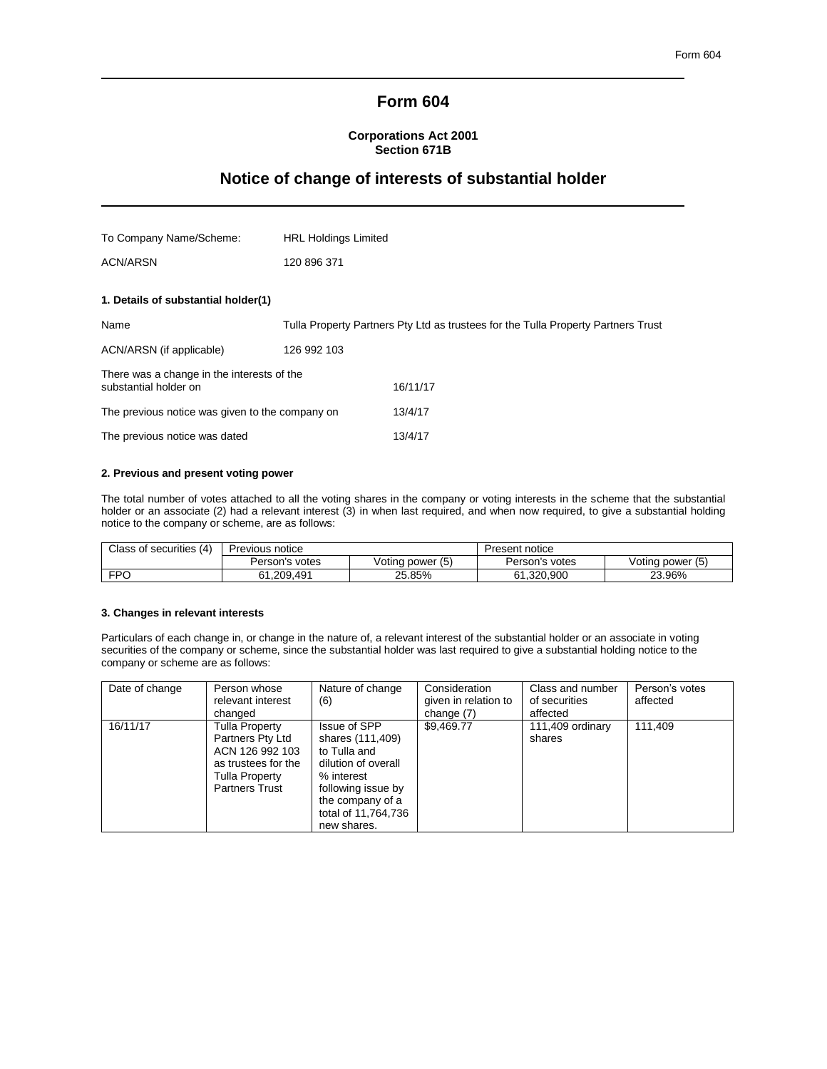## **Form 604**

## **Corporations Act 2001 Section 671B**

# **Notice of change of interests of substantial holder**

| To Company Name/Scheme:                                             | <b>HRL Holdings Limited</b> |                                                                                   |
|---------------------------------------------------------------------|-----------------------------|-----------------------------------------------------------------------------------|
| ACN/ARSN                                                            | 120 896 371                 |                                                                                   |
| 1. Details of substantial holder(1)                                 |                             |                                                                                   |
|                                                                     |                             |                                                                                   |
| Name                                                                |                             | Tulla Property Partners Pty Ltd as trustees for the Tulla Property Partners Trust |
| ACN/ARSN (if applicable)                                            | 126 992 103                 |                                                                                   |
| There was a change in the interests of the<br>substantial holder on |                             | 16/11/17                                                                          |
| The previous notice was given to the company on                     |                             | 13/4/17                                                                           |
| The previous notice was dated                                       |                             | 13/4/17                                                                           |

### **2. Previous and present voting power**

The total number of votes attached to all the voting shares in the company or voting interests in the scheme that the substantial holder or an associate (2) had a relevant interest (3) in when last required, and when now required, to give a substantial holding notice to the company or scheme, are as follows:

| (4)<br>Class of securities | Previous notice |                  | Present notice |                  |
|----------------------------|-----------------|------------------|----------------|------------------|
|                            | Person's votes  | Voting power (5) | Person's votes | Voting power (5) |
| <b>FPO</b>                 | 61,209,491      | 25.85%           | 61.320.900     | 23.96%<br>າາ     |

### **3. Changes in relevant interests**

Particulars of each change in, or change in the nature of, a relevant interest of the substantial holder or an associate in voting securities of the company or scheme, since the substantial holder was last required to give a substantial holding notice to the company or scheme are as follows:

| Date of change | Person whose<br>relevant interest<br>changed                                                                                          | Nature of change<br>(6)                                                                                                                                               | Consideration<br>given in relation to<br>change $(7)$ | Class and number<br>of securities<br>affected | Person's votes<br>affected |
|----------------|---------------------------------------------------------------------------------------------------------------------------------------|-----------------------------------------------------------------------------------------------------------------------------------------------------------------------|-------------------------------------------------------|-----------------------------------------------|----------------------------|
| 16/11/17       | <b>Tulla Property</b><br>Partners Pty Ltd<br>ACN 126 992 103<br>as trustees for the<br><b>Tulla Property</b><br><b>Partners Trust</b> | Issue of SPP<br>shares (111,409)<br>to Tulla and<br>dilution of overall<br>% interest<br>following issue by<br>the company of a<br>total of 11,764,736<br>new shares. | \$9,469.77                                            | 111,409 ordinary<br>shares                    | 111.409                    |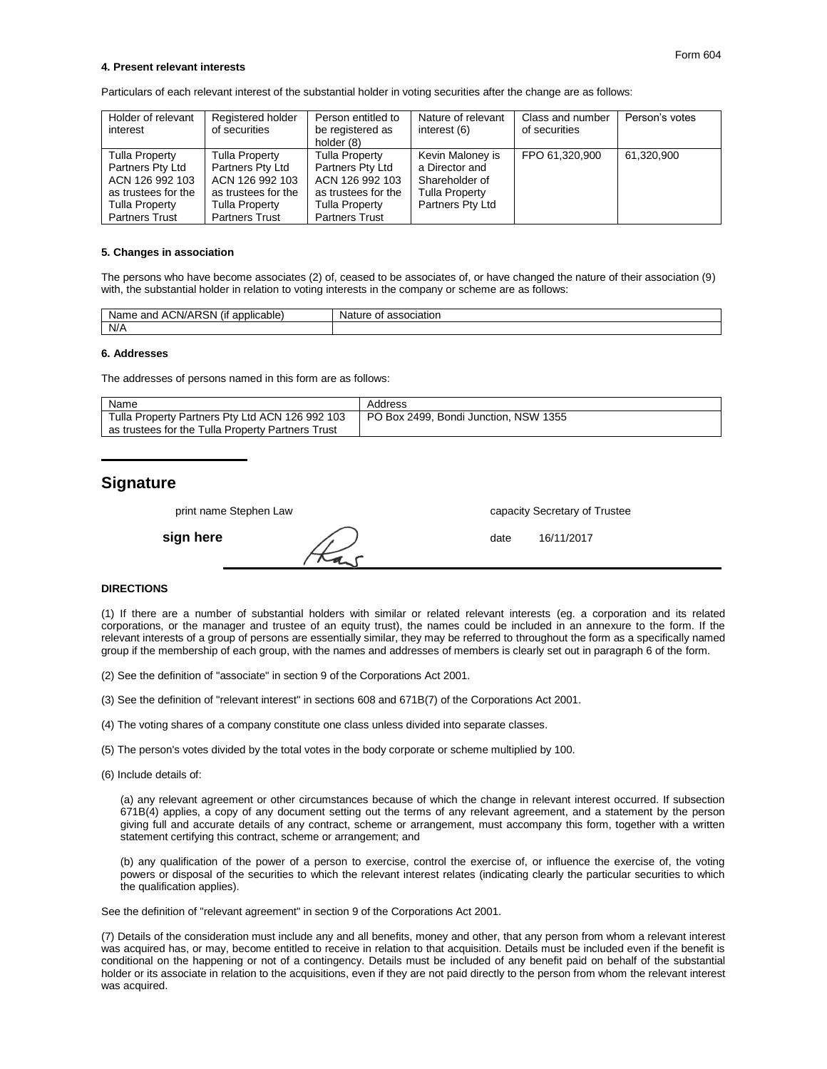#### **4. Present relevant interests**

Particulars of each relevant interest of the substantial holder in voting securities after the change are as follows:

| Holder of relevant<br>interest                                                                                                        | Registered holder<br>of securities                                                                                                    | Person entitled to<br>be registered as<br>holder (8)                                                                                  | Nature of relevant<br>interest (6)                                                                | Class and number<br>of securities | Person's votes |
|---------------------------------------------------------------------------------------------------------------------------------------|---------------------------------------------------------------------------------------------------------------------------------------|---------------------------------------------------------------------------------------------------------------------------------------|---------------------------------------------------------------------------------------------------|-----------------------------------|----------------|
| <b>Tulla Property</b><br>Partners Pty Ltd<br>ACN 126 992 103<br>as trustees for the<br><b>Tulla Property</b><br><b>Partners Trust</b> | <b>Tulla Property</b><br>Partners Pty Ltd<br>ACN 126 992 103<br>as trustees for the<br><b>Tulla Property</b><br><b>Partners Trust</b> | <b>Tulla Property</b><br>Partners Pty Ltd<br>ACN 126 992 103<br>as trustees for the<br><b>Tulla Property</b><br><b>Partners Trust</b> | Kevin Maloney is<br>a Director and<br>Shareholder of<br><b>Tulla Property</b><br>Partners Pty Ltd | FPO 61.320.900                    | 61.320.900     |

#### **5. Changes in association**

The persons who have become associates (2) of, ceased to be associates of, or have changed the nature of their association (9) with, the substantial holder in relation to voting interests in the company or scheme are as follows:

| <br>.<br>Ð<br>Nа<br>CN/ARSN<br>~~<br>n r<br>וומ<br>аріе<br>anc<br>пe.<br>$\overline{\phantom{a}}$<br>$\sim$<br>- | Gidtion<br>.<br>л |
|------------------------------------------------------------------------------------------------------------------|-------------------|
| N/A                                                                                                              |                   |

#### **6. Addresses**

The addresses of persons named in this form are as follows:

| Name                                              | Address                               |
|---------------------------------------------------|---------------------------------------|
| Tulla Property Partners Pty Ltd ACN 126 992 103   | PO Box 2499. Bondi Junction. NSW 1355 |
| as trustees for the Tulla Property Partners Trust |                                       |

## **Signature**

| print name Stephen Law | capacity Secretary of Trustee |
|------------------------|-------------------------------|
| sign here              | 16/11/2017<br>date            |

## **DIRECTIONS**

(1) If there are a number of substantial holders with similar or related relevant interests (eg. a corporation and its related corporations, or the manager and trustee of an equity trust), the names could be included in an annexure to the form. If the relevant interests of a group of persons are essentially similar, they may be referred to throughout the form as a specifically named group if the membership of each group, with the names and addresses of members is clearly set out in paragraph 6 of the form.

(2) See the definition of "associate" in section 9 of the Corporations Act 2001.

(3) See the definition of "relevant interest" in sections 608 and 671B(7) of the Corporations Act 2001.

- (4) The voting shares of a company constitute one class unless divided into separate classes.
- (5) The person's votes divided by the total votes in the body corporate or scheme multiplied by 100.
- (6) Include details of:

(a) any relevant agreement or other circumstances because of which the change in relevant interest occurred. If subsection 671B(4) applies, a copy of any document setting out the terms of any relevant agreement, and a statement by the person giving full and accurate details of any contract, scheme or arrangement, must accompany this form, together with a written statement certifying this contract, scheme or arrangement; and

(b) any qualification of the power of a person to exercise, control the exercise of, or influence the exercise of, the voting powers or disposal of the securities to which the relevant interest relates (indicating clearly the particular securities to which the qualification applies).

See the definition of "relevant agreement" in section 9 of the Corporations Act 2001.

(7) Details of the consideration must include any and all benefits, money and other, that any person from whom a relevant interest was acquired has, or may, become entitled to receive in relation to that acquisition. Details must be included even if the benefit is conditional on the happening or not of a contingency. Details must be included of any benefit paid on behalf of the substantial holder or its associate in relation to the acquisitions, even if they are not paid directly to the person from whom the relevant interest was acquired.